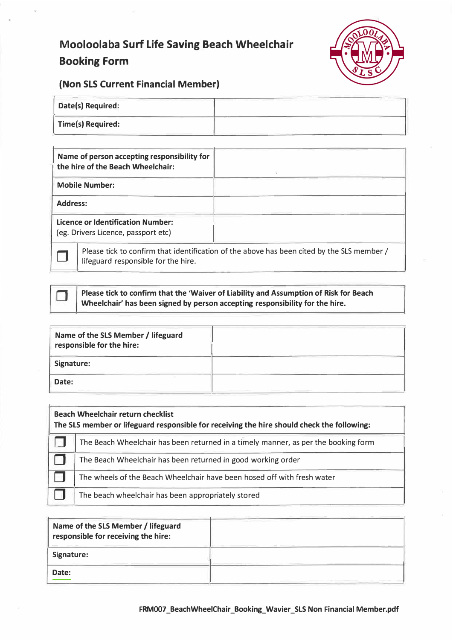# **Mooloolaba Surf Life Saving Beach Wheelchair Booking Form**



### **(Non SLS Current Financial Member)**

| Date(s) Required:        |  |
|--------------------------|--|
| <b>Time(s) Required:</b> |  |

| Name of person accepting responsibility for<br>the hire of the Beach Wheelchair: |                                                                                                                                            |
|----------------------------------------------------------------------------------|--------------------------------------------------------------------------------------------------------------------------------------------|
| <b>Mobile Number:</b>                                                            |                                                                                                                                            |
| <b>Address:</b>                                                                  |                                                                                                                                            |
| <b>Licence or Identification Number:</b><br>(eg. Drivers Licence, passport etc)  |                                                                                                                                            |
|                                                                                  | $\mathbf{D}$ because the construction of the article of the contract becomes the different of $\mathbf{C}$ in $\mathbf{C}$ are contracted. |

Please tick to confirm that identification of the above has been cited by the SLS member / lifeguard responsible for the hire.



**Please tick to confirm that the 'Waiver of Liability and Assumption of Risk for Beach Wheelchair' has been signed by person accepting responsibility for the hire.** 

| Name of the SLS Member / lifeguard<br>responsible for the hire: |  |
|-----------------------------------------------------------------|--|
| Signature:                                                      |  |
| Date:                                                           |  |

| <b>Beach Wheelchair return checklist</b><br>The SLS member or lifeguard responsible for receiving the hire should check the following: |                                                                                    |  |
|----------------------------------------------------------------------------------------------------------------------------------------|------------------------------------------------------------------------------------|--|
|                                                                                                                                        | The Beach Wheelchair has been returned in a timely manner, as per the booking form |  |
|                                                                                                                                        | The Beach Wheelchair has been returned in good working order                       |  |
|                                                                                                                                        | The wheels of the Beach Wheelchair have been hosed off with fresh water            |  |
|                                                                                                                                        | The beach wheelchair has been appropriately stored                                 |  |

| Name of the SLS Member / lifeguard<br>responsible for receiving the hire: |  |
|---------------------------------------------------------------------------|--|
| Signature:                                                                |  |
| Date:                                                                     |  |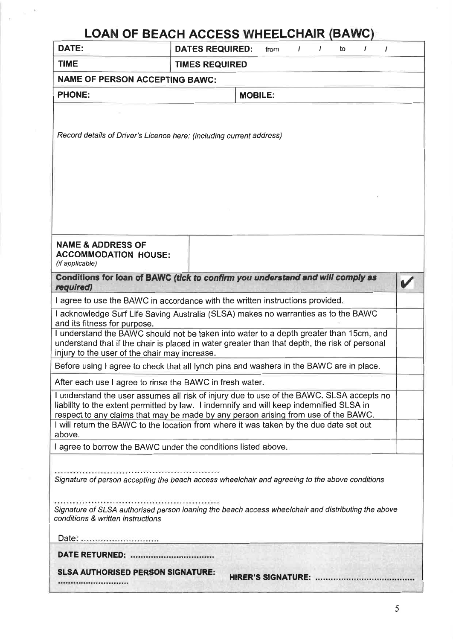| <b>TIME</b><br><b>TIMES REQUIRED</b><br><b>NAME OF PERSON ACCEPTING BAWC:</b><br><b>PHONE:</b><br><b>MOBILE:</b><br>Record details of Driver's Licence here: (including current address)<br>Date:<br><b>SLSA AUTHORISED PERSON SIGNATURE:</b>                                                                                                                                                                                                                                                | $\sqrt{ }$<br>$\prime$ |
|----------------------------------------------------------------------------------------------------------------------------------------------------------------------------------------------------------------------------------------------------------------------------------------------------------------------------------------------------------------------------------------------------------------------------------------------------------------------------------------------|------------------------|
|                                                                                                                                                                                                                                                                                                                                                                                                                                                                                              |                        |
|                                                                                                                                                                                                                                                                                                                                                                                                                                                                                              |                        |
|                                                                                                                                                                                                                                                                                                                                                                                                                                                                                              |                        |
|                                                                                                                                                                                                                                                                                                                                                                                                                                                                                              |                        |
|                                                                                                                                                                                                                                                                                                                                                                                                                                                                                              |                        |
|                                                                                                                                                                                                                                                                                                                                                                                                                                                                                              |                        |
|                                                                                                                                                                                                                                                                                                                                                                                                                                                                                              |                        |
|                                                                                                                                                                                                                                                                                                                                                                                                                                                                                              |                        |
|                                                                                                                                                                                                                                                                                                                                                                                                                                                                                              |                        |
|                                                                                                                                                                                                                                                                                                                                                                                                                                                                                              |                        |
|                                                                                                                                                                                                                                                                                                                                                                                                                                                                                              |                        |
| <b>NAME &amp; ADDRESS OF</b><br><b>ACCOMMODATION HOUSE:</b><br>(if applicable)<br>Conditions for loan of BAWC (tick to confirm you understand and will comply as<br>required)<br>I agree to use the BAWC in accordance with the written instructions provided.<br>I acknowledge Surf Life Saving Australia (SLSA) makes no warranties as to the BAWC<br>and its fitness for purpose.<br>I understand the BAWC should not be taken into water to a depth greater than 15cm, and               |                        |
|                                                                                                                                                                                                                                                                                                                                                                                                                                                                                              |                        |
|                                                                                                                                                                                                                                                                                                                                                                                                                                                                                              |                        |
|                                                                                                                                                                                                                                                                                                                                                                                                                                                                                              |                        |
|                                                                                                                                                                                                                                                                                                                                                                                                                                                                                              |                        |
|                                                                                                                                                                                                                                                                                                                                                                                                                                                                                              |                        |
|                                                                                                                                                                                                                                                                                                                                                                                                                                                                                              |                        |
| understand that if the chair is placed in water greater than that depth, the risk of personal<br>injury to the user of the chair may increase.<br>Before using I agree to check that all lynch pins and washers in the BAWC are in place.<br>After each use I agree to rinse the BAWC in fresh water-<br>I understand the user assumes all risk of injury due to use of the BAWC. SLSA accepts no<br>liability to the extent permitted by law. I indemnify and will keep indemnified SLSA in |                        |
|                                                                                                                                                                                                                                                                                                                                                                                                                                                                                              |                        |
|                                                                                                                                                                                                                                                                                                                                                                                                                                                                                              |                        |
|                                                                                                                                                                                                                                                                                                                                                                                                                                                                                              |                        |
|                                                                                                                                                                                                                                                                                                                                                                                                                                                                                              |                        |
| respect to any claims that may be made by any person arising from use of the BAWC.<br>I will return the BAWC to the location from where it was taken by the due date set out<br>above.                                                                                                                                                                                                                                                                                                       |                        |
|                                                                                                                                                                                                                                                                                                                                                                                                                                                                                              |                        |
| I agree to borrow the BAWC under the conditions listed above.                                                                                                                                                                                                                                                                                                                                                                                                                                |                        |
| Signature of person accepting the beach access wheelchair and agreeing to the above conditions<br>Signature of SLSA authorised person loaning the beach access wheelchair and distributing the above<br>conditions & written instructions                                                                                                                                                                                                                                                    |                        |
|                                                                                                                                                                                                                                                                                                                                                                                                                                                                                              |                        |
|                                                                                                                                                                                                                                                                                                                                                                                                                                                                                              |                        |
|                                                                                                                                                                                                                                                                                                                                                                                                                                                                                              |                        |
|                                                                                                                                                                                                                                                                                                                                                                                                                                                                                              |                        |
|                                                                                                                                                                                                                                                                                                                                                                                                                                                                                              |                        |
|                                                                                                                                                                                                                                                                                                                                                                                                                                                                                              |                        |
|                                                                                                                                                                                                                                                                                                                                                                                                                                                                                              |                        |
|                                                                                                                                                                                                                                                                                                                                                                                                                                                                                              |                        |
|                                                                                                                                                                                                                                                                                                                                                                                                                                                                                              |                        |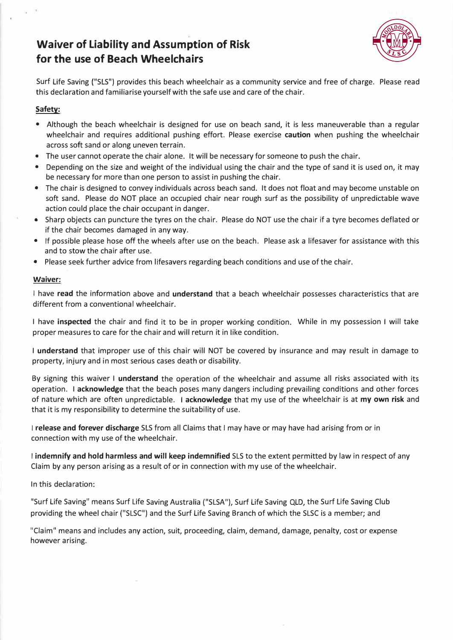## **Waiver of Liability and Assumption of Risk for the use of Beach Wheelchairs**



Surf Life Saving ("SLS") provides this beach wheelchair as a community service and free of charge. Please read this declaration and familiarise yourself with the safe use and care of the chair.

#### **Safety:**

- Although the beach wheelchair is designed for use on beach sand, it is less maneuverable than a regular wheelchair and requires additional pushing effort. Please exercise **caution** when pushing the wheelchair across soft sand or along uneven terrain.
- The user cannot operate the chair alone. It will be necessary for someone to push the chair.
- Depending on the size and weight of the individual using the chair and the type of sand it is used on, it may be necessary for more than one person to assist in pushing the chair.
- The chair is designed to convey individuals across beach sand. It does not float and may become unstable on soft sand. Please do NOT place an occupied chair near rough surf as the possibility of unpredictable wave action could place the chair occupant in danger.
- Sharp objects can puncture the tyres on the chair. Please do NOT use the chair if a tyre becomes deflated or if the chair becomes damaged in any way.
- If possible please hose *off* the wheels after use on the beach. Please ask a lifesaver for assistance with this and to stow the chair after use.
- Please seek further advice from lifesavers regarding beach conditions and use of the chair.

#### **Waiver:**

I have **read** the information above and **understand** that a beach wheelchair possesses characteristics that are different from a conventional wheelchair.

I have **inspected** the chair and find it to be in proper working condition. While in my possession I will take proper measures to care for the chair and will return it in like condition.

I **understand** that improper use of this chair will NOT be covered by insurance and may result in damage to property, injury and in most serious cases death or disability.

By signing this waiver I **understand** the operation of the wheelchair and assume all risks associated with its operation. I **acknowledge** that the beach poses many dangers including prevailing conditions and other forces of nature which are often unpredictable. I **acknowledge** that my use of the wheelchair is at **my own risk** and that it is my responsibility to determine the suitability of use.

I **release and forever discharge** SLS from all Claims that I may have or may have had arising from or in connection with my use of the wheelchair.

I **indemnify and hold harmless and will keep indemnified** SLS to the extent permitted by law in respect of any Claim by any person arising as a result of or in connection with my use of the wheelchair.

In this declaration:

"Surf Life Saving" means Surf Life Saving Australia ("SLSA"), Surf Life Saving QLD, the Surf Life Saving Club providing the wheel chair ("SLSC") and the Surf Life Saving Branch of which the SLSC is a member; and

"Claim" means and includes any action, suit, proceeding, claim, demand, damage, penalty, cost or expense however arising.